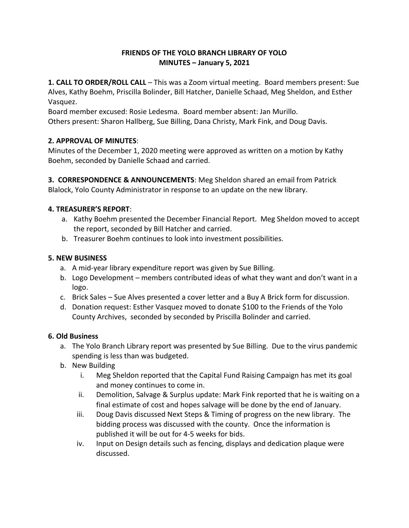#### **FRIENDS OF THE YOLO BRANCH LIBRARY OF YOLO MINUTES – January 5, 2021**

**1. CALL TO ORDER/ROLL CALL** – This was a Zoom virtual meeting. Board members present: Sue Alves, Kathy Boehm, Priscilla Bolinder, Bill Hatcher, Danielle Schaad, Meg Sheldon, and Esther Vasquez.

Board member excused: Rosie Ledesma. Board member absent: Jan Murillo. Others present: Sharon Hallberg, Sue Billing, Dana Christy, Mark Fink, and Doug Davis.

# **2. APPROVAL OF MINUTES**:

Minutes of the December 1, 2020 meeting were approved as written on a motion by Kathy Boehm, seconded by Danielle Schaad and carried.

**3. CORRESPONDENCE & ANNOUNCEMENTS**: Meg Sheldon shared an email from Patrick Blalock, Yolo County Administrator in response to an update on the new library.

# **4. TREASURER'S REPORT**:

- a. Kathy Boehm presented the December Financial Report. Meg Sheldon moved to accept the report, seconded by Bill Hatcher and carried.
- b. Treasurer Boehm continues to look into investment possibilities.

# **5. NEW BUSINESS**

- a. A mid-year library expenditure report was given by Sue Billing.
- b. Logo Development members contributed ideas of what they want and don't want in a logo.
- c. Brick Sales Sue Alves presented a cover letter and a Buy A Brick form for discussion.
- d. Donation request: Esther Vasquez moved to donate \$100 to the Friends of the Yolo County Archives, seconded by seconded by Priscilla Bolinder and carried.

#### **6. Old Business**

- a. The Yolo Branch Library report was presented by Sue Billing. Due to the virus pandemic spending is less than was budgeted.
- b. New Building
	- i. Meg Sheldon reported that the Capital Fund Raising Campaign has met its goal and money continues to come in.
	- ii. Demolition, Salvage & Surplus update: Mark Fink reported that he is waiting on a final estimate of cost and hopes salvage will be done by the end of January.
	- iii. Doug Davis discussed Next Steps & Timing of progress on the new library. The bidding process was discussed with the county. Once the information is published it will be out for 4-5 weeks for bids.
	- iv. Input on Design details such as fencing, displays and dedication plaque were discussed.